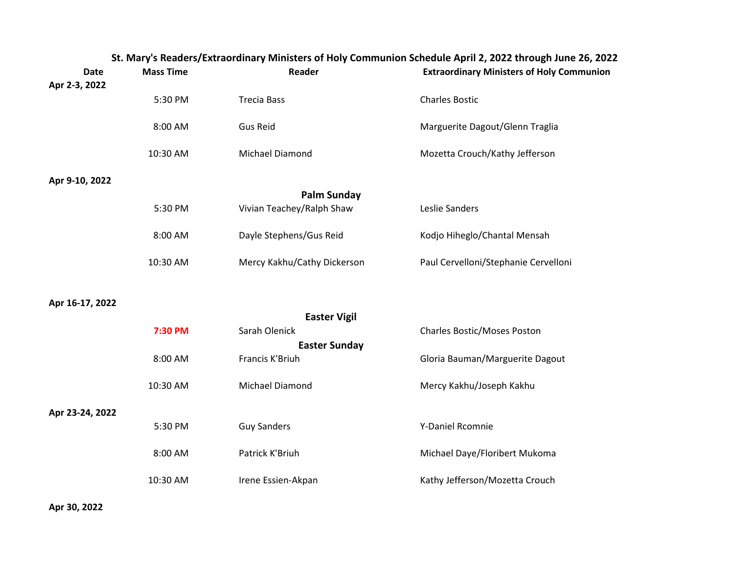| <b>Date</b>          | <b>Mass Time</b> | Reader                      | St. Mary's Readers/Extraordinary Ministers of Holy Communion Schedule April 2, 2022 through June 26, 202<br><b>Extraordinary Ministers of Holy Communion</b> |  |  |
|----------------------|------------------|-----------------------------|--------------------------------------------------------------------------------------------------------------------------------------------------------------|--|--|
| Apr 2-3, 2022        |                  |                             |                                                                                                                                                              |  |  |
|                      | 5:30 PM          | <b>Trecia Bass</b>          | <b>Charles Bostic</b>                                                                                                                                        |  |  |
|                      | 8:00 AM          | <b>Gus Reid</b>             | Marguerite Dagout/Glenn Traglia                                                                                                                              |  |  |
|                      | 10:30 AM         | Michael Diamond             | Mozetta Crouch/Kathy Jefferson                                                                                                                               |  |  |
| Apr 9-10, 2022       |                  |                             |                                                                                                                                                              |  |  |
|                      |                  | <b>Palm Sunday</b>          |                                                                                                                                                              |  |  |
|                      | 5:30 PM          | Vivian Teachey/Ralph Shaw   | Leslie Sanders                                                                                                                                               |  |  |
|                      | 8:00 AM          | Dayle Stephens/Gus Reid     | Kodjo Hiheglo/Chantal Mensah                                                                                                                                 |  |  |
|                      | 10:30 AM         | Mercy Kakhu/Cathy Dickerson | Paul Cervelloni/Stephanie Cervelloni                                                                                                                         |  |  |
| Apr 16-17, 2022      |                  |                             |                                                                                                                                                              |  |  |
|                      |                  | <b>Easter Vigil</b>         |                                                                                                                                                              |  |  |
|                      | 7:30 PM          | Sarah Olenick               | Charles Bostic/Moses Poston                                                                                                                                  |  |  |
| <b>Easter Sunday</b> |                  |                             |                                                                                                                                                              |  |  |
|                      | 8:00 AM          | Francis K'Briuh             | Gloria Bauman/Marguerite Dagout                                                                                                                              |  |  |
|                      | 10:30 AM         | Michael Diamond             | Mercy Kakhu/Joseph Kakhu                                                                                                                                     |  |  |
| Apr 23-24, 2022      |                  |                             |                                                                                                                                                              |  |  |
|                      | 5:30 PM          | <b>Guy Sanders</b>          | Y-Daniel Rcomnie                                                                                                                                             |  |  |
|                      | 8:00 AM          | Patrick K'Briuh             | Michael Daye/Floribert Mukoma                                                                                                                                |  |  |
|                      | 10:30 AM         | Irene Essien-Akpan          | Kathy Jefferson/Mozetta Crouch                                                                                                                               |  |  |

**St. Mary's Readers/Extraordinary Ministers of Holy Communion Schedule April 2, 2022 through June 26, 2022**

**Apr 30, 2022**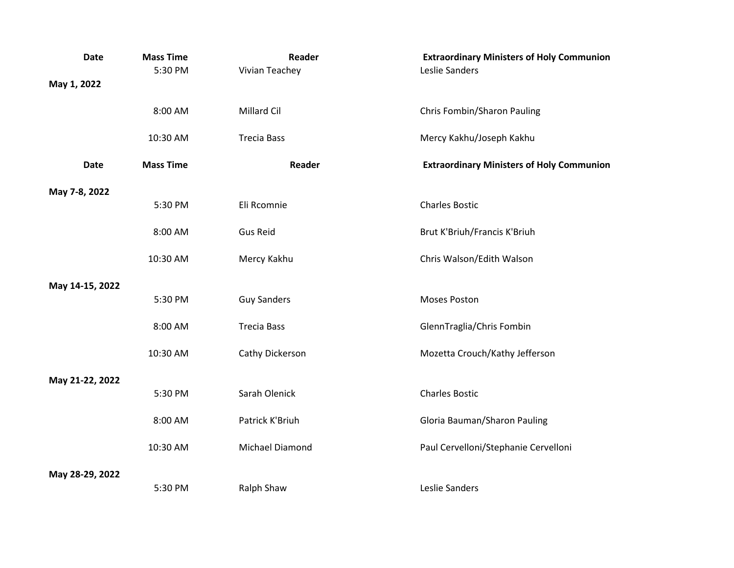| <b>Date</b>     | <b>Mass Time</b><br>5:30 PM | Reader<br>Vivian Teachey | <b>Extraordinary Ministers of Holy Communion</b><br>Leslie Sanders |
|-----------------|-----------------------------|--------------------------|--------------------------------------------------------------------|
| May 1, 2022     |                             |                          |                                                                    |
|                 | 8:00 AM                     | Millard Cil              | Chris Fombin/Sharon Pauling                                        |
|                 | 10:30 AM                    | <b>Trecia Bass</b>       | Mercy Kakhu/Joseph Kakhu                                           |
| <b>Date</b>     | <b>Mass Time</b>            | Reader                   | <b>Extraordinary Ministers of Holy Communion</b>                   |
| May 7-8, 2022   |                             |                          |                                                                    |
|                 | 5:30 PM                     | Eli Rcomnie              | <b>Charles Bostic</b>                                              |
|                 | 8:00 AM                     | <b>Gus Reid</b>          | Brut K'Briuh/Francis K'Briuh                                       |
|                 | 10:30 AM                    | Mercy Kakhu              | Chris Walson/Edith Walson                                          |
| May 14-15, 2022 |                             |                          |                                                                    |
|                 | 5:30 PM                     | <b>Guy Sanders</b>       | Moses Poston                                                       |
|                 | 8:00 AM                     | <b>Trecia Bass</b>       | GlennTraglia/Chris Fombin                                          |
|                 | 10:30 AM                    | Cathy Dickerson          | Mozetta Crouch/Kathy Jefferson                                     |
| May 21-22, 2022 |                             |                          |                                                                    |
|                 | 5:30 PM                     | Sarah Olenick            | <b>Charles Bostic</b>                                              |
|                 | 8:00 AM                     | Patrick K'Briuh          | Gloria Bauman/Sharon Pauling                                       |
|                 | 10:30 AM                    | Michael Diamond          | Paul Cervelloni/Stephanie Cervelloni                               |
| May 28-29, 2022 |                             |                          |                                                                    |
|                 | 5:30 PM                     | Ralph Shaw               | Leslie Sanders                                                     |